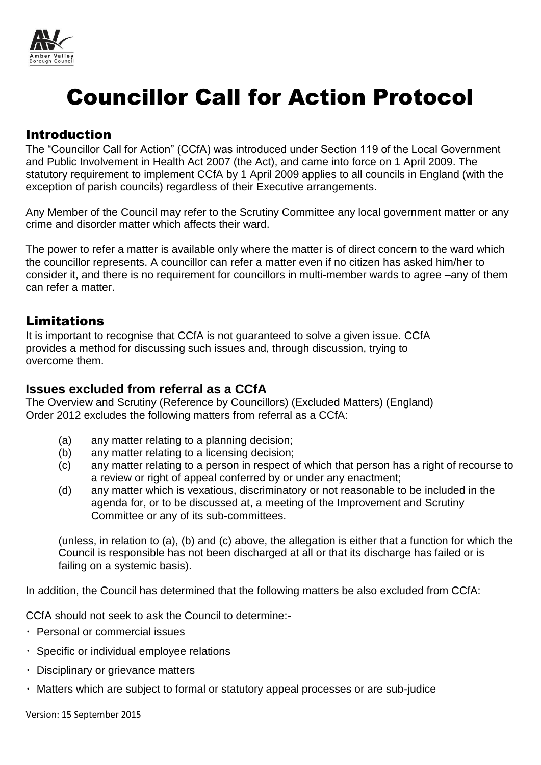

# Councillor Call for Action Protocol

## Introduction

The "Councillor Call for Action" (CCfA) was introduced under Section 119 of the Local Government and Public Involvement in Health Act 2007 (the Act), and came into force on 1 April 2009. The statutory requirement to implement CCfA by 1 April 2009 applies to all councils in England (with the exception of parish councils) regardless of their Executive arrangements.

Any Member of the Council may refer to the Scrutiny Committee any local government matter or any crime and disorder matter which affects their ward.

The power to refer a matter is available only where the matter is of direct concern to the ward which the councillor represents. A councillor can refer a matter even if no citizen has asked him/her to consider it, and there is no requirement for councillors in multi-member wards to agree –any of them can refer a matter.

## Limitations

It is important to recognise that CCfA is not guaranteed to solve a given issue. CCfA provides a method for discussing such issues and, through discussion, trying to overcome them.

#### **Issues excluded from referral as a CCfA**

The Overview and Scrutiny (Reference by Councillors) (Excluded Matters) (England) Order 2012 excludes the following matters from referral as a CCfA:

- (a) any matter relating to a planning decision;
- (b) any matter relating to a licensing decision;
- (c) any matter relating to a person in respect of which that person has a right of recourse to a review or right of appeal conferred by or under any enactment;
- (d) any matter which is vexatious, discriminatory or not reasonable to be included in the agenda for, or to be discussed at, a meeting of the Improvement and Scrutiny Committee or any of its sub-committees.

(unless, in relation to (a), (b) and (c) above, the allegation is either that a function for which the Council is responsible has not been discharged at all or that its discharge has failed or is failing on a systemic basis).

In addition, the Council has determined that the following matters be also excluded from CCfA:

CCfA should not seek to ask the Council to determine:-

- Personal or commercial issues
- Specific or individual employee relations
- $\cdot$  Disciplinary or grievance matters
- Matters which are subject to formal or statutory appeal processes or are sub-judice

Version: 15 September 2015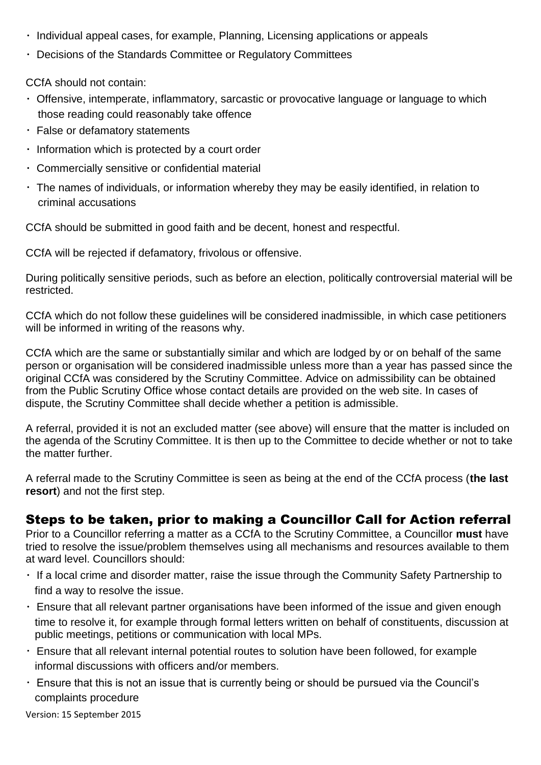- Individual appeal cases, for example, Planning, Licensing applications or appeals
- Decisions of the Standards Committee or Regulatory Committees

CCfA should not contain:

- Offensive, intemperate, inflammatory, sarcastic or provocative language or language to which those reading could reasonably take offence
- False or defamatory statements
- $\cdot$  Information which is protected by a court order
- Commercially sensitive or confidential material
- The names of individuals, or information whereby they may be easily identified, in relation to criminal accusations

CCfA should be submitted in good faith and be decent, honest and respectful.

CCfA will be rejected if defamatory, frivolous or offensive.

During politically sensitive periods, such as before an election, politically controversial material will be restricted.

CCfA which do not follow these guidelines will be considered inadmissible, in which case petitioners will be informed in writing of the reasons why.

CCfA which are the same or substantially similar and which are lodged by or on behalf of the same person or organisation will be considered inadmissible unless more than a year has passed since the original CCfA was considered by the Scrutiny Committee. Advice on admissibility can be obtained from the Public Scrutiny Office whose contact details are provided on the web site. In cases of dispute, the Scrutiny Committee shall decide whether a petition is admissible.

A referral, provided it is not an excluded matter (see above) will ensure that the matter is included on the agenda of the Scrutiny Committee. It is then up to the Committee to decide whether or not to take the matter further.

A referral made to the Scrutiny Committee is seen as being at the end of the CCfA process (**the last resort**) and not the first step.

# Steps to be taken, prior to making a Councillor Call for Action referral

Prior to a Councillor referring a matter as a CCfA to the Scrutiny Committee, a Councillor **must** have tried to resolve the issue/problem themselves using all mechanisms and resources available to them at ward level. Councillors should:

- $\cdot$  If a local crime and disorder matter, raise the issue through the Community Safety Partnership to find a way to resolve the issue.
- Ensure that all relevant partner organisations have been informed of the issue and given enough time to resolve it, for example through formal letters written on behalf of constituents, discussion at public meetings, petitions or communication with local MPs.
- Ensure that all relevant internal potential routes to solution have been followed, for example informal discussions with officers and/or members.
- Ensure that this is not an issue that is currently being or should be pursued via the Council's complaints procedure

Version: 15 September 2015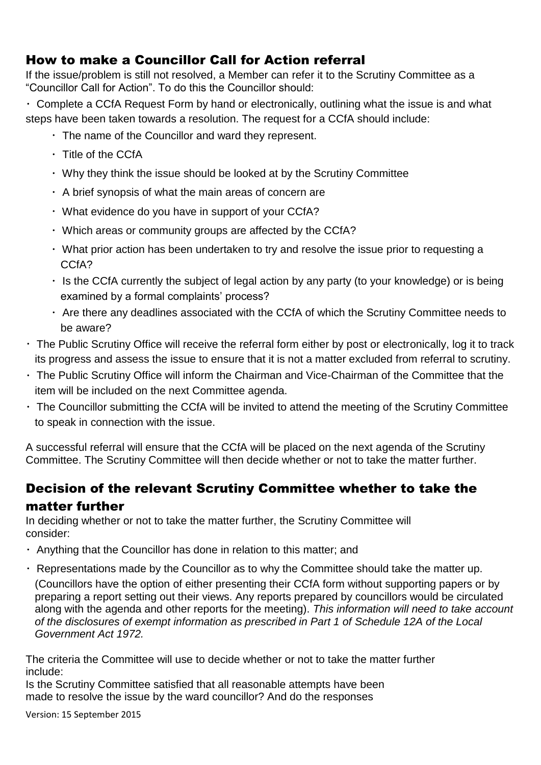# How to make a Councillor Call for Action referral

If the issue/problem is still not resolved, a Member can refer it to the Scrutiny Committee as a "Councillor Call for Action". To do this the Councillor should:

Complete a CCfA Request Form by hand or electronically, outlining what the issue is and what steps have been taken towards a resolution. The request for a CCfA should include:

- The name of the Councillor and ward they represent.
- Title of the CCfA
- Why they think the issue should be looked at by the Scrutiny Committee
- $\cdot$  A brief synopsis of what the main areas of concern are
- What evidence do you have in support of your CCfA?
- Which areas or community groups are affected by the CCfA?
- $\cdot$  What prior action has been undertaken to try and resolve the issue prior to requesting a CCfA?
- $\cdot$  Is the CCfA currently the subject of legal action by any party (to your knowledge) or is being examined by a formal complaints' process?
- Are there any deadlines associated with the CCfA of which the Scrutiny Committee needs to be aware?
- The Public Scrutiny Office will receive the referral form either by post or electronically, log it to track its progress and assess the issue to ensure that it is not a matter excluded from referral to scrutiny.
- The Public Scrutiny Office will inform the Chairman and Vice-Chairman of the Committee that the item will be included on the next Committee agenda.
- The Councillor submitting the CCfA will be invited to attend the meeting of the Scrutiny Committee to speak in connection with the issue.

A successful referral will ensure that the CCfA will be placed on the next agenda of the Scrutiny Committee. The Scrutiny Committee will then decide whether or not to take the matter further.

# Decision of the relevant Scrutiny Committee whether to take the matter further

In deciding whether or not to take the matter further, the Scrutiny Committee will consider:

- $\cdot$  Anything that the Councillor has done in relation to this matter; and
- Representations made by the Councillor as to why the Committee should take the matter up. (Councillors have the option of either presenting their CCfA form without supporting papers or by preparing a report setting out their views. Any reports prepared by councillors would be circulated along with the agenda and other reports for the meeting). *This information will need to take account of the disclosures of exempt information as prescribed in Part 1 of Schedule 12A of the Local Government Act 1972.*

The criteria the Committee will use to decide whether or not to take the matter further include:

Is the Scrutiny Committee satisfied that all reasonable attempts have been made to resolve the issue by the ward councillor? And do the responses

Version: 15 September 2015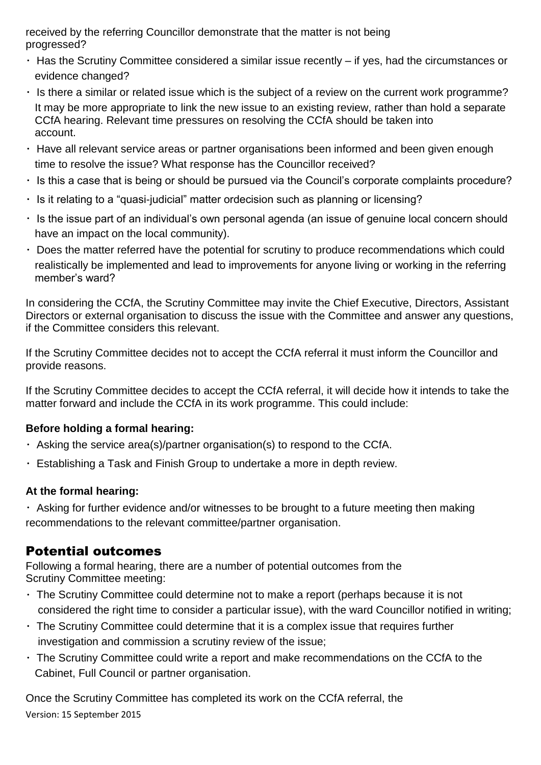received by the referring Councillor demonstrate that the matter is not being progressed?

- $\cdot$  Has the Scrutiny Committee considered a similar issue recently if yes, had the circumstances or evidence changed?
- $\cdot$  Is there a similar or related issue which is the subject of a review on the current work programme? It may be more appropriate to link the new issue to an existing review, rather than hold a separate CCfA hearing. Relevant time pressures on resolving the CCfA should be taken into account.
- Have all relevant service areas or partner organisations been informed and been given enough time to resolve the issue? What response has the Councillor received?
- $\cdot$  Is this a case that is being or should be pursued via the Council's corporate complaints procedure?
- $\cdot$  Is it relating to a "quasi-judicial" matter ordecision such as planning or licensing?
- $\cdot$  Is the issue part of an individual's own personal agenda (an issue of genuine local concern should have an impact on the local community).
- Does the matter referred have the potential for scrutiny to produce recommendations which could realistically be implemented and lead to improvements for anyone living or working in the referring member's ward?

In considering the CCfA, the Scrutiny Committee may invite the Chief Executive, Directors, Assistant Directors or external organisation to discuss the issue with the Committee and answer any questions, if the Committee considers this relevant.

If the Scrutiny Committee decides not to accept the CCfA referral it must inform the Councillor and provide reasons.

If the Scrutiny Committee decides to accept the CCfA referral, it will decide how it intends to take the matter forward and include the CCfA in its work programme. This could include:

### **Before holding a formal hearing:**

- Asking the service area(s)/partner organisation(s) to respond to the CCfA.
- Establishing a Task and Finish Group to undertake a more in depth review.

### **At the formal hearing:**

Asking for further evidence and/or witnesses to be brought to a future meeting then making recommendations to the relevant committee/partner organisation.

# Potential outcomes

Following a formal hearing, there are a number of potential outcomes from the Scrutiny Committee meeting:

- The Scrutiny Committee could determine not to make a report (perhaps because it is not considered the right time to consider a particular issue), with the ward Councillor notified in writing;
- $\cdot$  The Scrutiny Committee could determine that it is a complex issue that requires further investigation and commission a scrutiny review of the issue;
- The Scrutiny Committee could write a report and make recommendations on the CCfA to the Cabinet, Full Council or partner organisation.

Version: 15 September 2015 Once the Scrutiny Committee has completed its work on the CCfA referral, the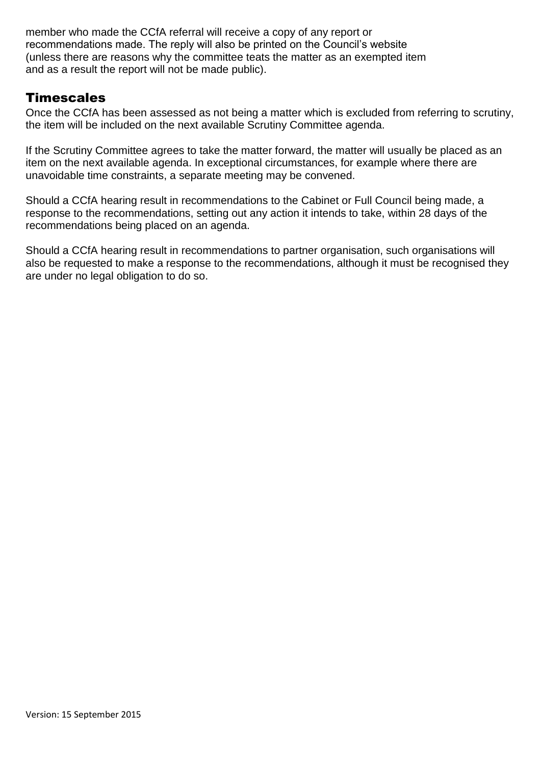member who made the CCfA referral will receive a copy of any report or recommendations made. The reply will also be printed on the Council's website (unless there are reasons why the committee teats the matter as an exempted item and as a result the report will not be made public).

## **Timescales**

Once the CCfA has been assessed as not being a matter which is excluded from referring to scrutiny, the item will be included on the next available Scrutiny Committee agenda.

If the Scrutiny Committee agrees to take the matter forward, the matter will usually be placed as an item on the next available agenda. In exceptional circumstances, for example where there are unavoidable time constraints, a separate meeting may be convened.

Should a CCfA hearing result in recommendations to the Cabinet or Full Council being made, a response to the recommendations, setting out any action it intends to take, within 28 days of the recommendations being placed on an agenda.

Should a CCfA hearing result in recommendations to partner organisation, such organisations will also be requested to make a response to the recommendations, although it must be recognised they are under no legal obligation to do so.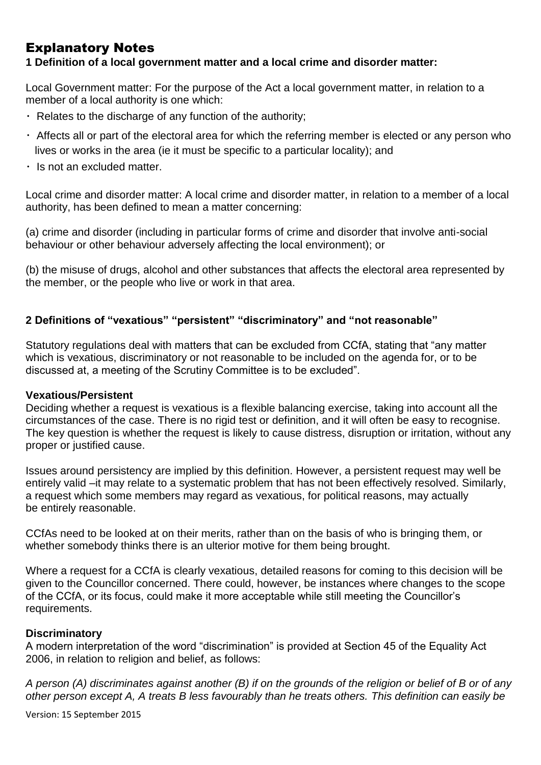# Explanatory Notes

**1 Definition of a local government matter and a local crime and disorder matter:**

Local Government matter: For the purpose of the Act a local government matter, in relation to a member of a local authority is one which:

- $\cdot$  Relates to the discharge of any function of the authority;
- Affects all or part of the electoral area for which the referring member is elected or any person who lives or works in the area (ie it must be specific to a particular locality); and
- $\cdot$  Is not an excluded matter.

Local crime and disorder matter: A local crime and disorder matter, in relation to a member of a local authority, has been defined to mean a matter concerning:

(a) crime and disorder (including in particular forms of crime and disorder that involve anti-social behaviour or other behaviour adversely affecting the local environment); or

(b) the misuse of drugs, alcohol and other substances that affects the electoral area represented by the member, or the people who live or work in that area.

#### **2 Definitions of "vexatious" "persistent" "discriminatory" and "not reasonable"**

Statutory regulations deal with matters that can be excluded from CCfA, stating that "any matter which is vexatious, discriminatory or not reasonable to be included on the agenda for, or to be discussed at, a meeting of the Scrutiny Committee is to be excluded".

#### **Vexatious/Persistent**

Deciding whether a request is vexatious is a flexible balancing exercise, taking into account all the circumstances of the case. There is no rigid test or definition, and it will often be easy to recognise. The key question is whether the request is likely to cause distress, disruption or irritation, without any proper or justified cause.

Issues around persistency are implied by this definition. However, a persistent request may well be entirely valid –it may relate to a systematic problem that has not been effectively resolved. Similarly, a request which some members may regard as vexatious, for political reasons, may actually be entirely reasonable.

CCfAs need to be looked at on their merits, rather than on the basis of who is bringing them, or whether somebody thinks there is an ulterior motive for them being brought.

Where a request for a CCfA is clearly vexatious, detailed reasons for coming to this decision will be given to the Councillor concerned. There could, however, be instances where changes to the scope of the CCfA, or its focus, could make it more acceptable while still meeting the Councillor's requirements.

#### **Discriminatory**

A modern interpretation of the word "discrimination" is provided at Section 45 of the Equality Act 2006, in relation to religion and belief, as follows:

*A person (A) discriminates against another (B) if on the grounds of the religion or belief of B or of any other person except A, A treats B less favourably than he treats others. This definition can easily be*